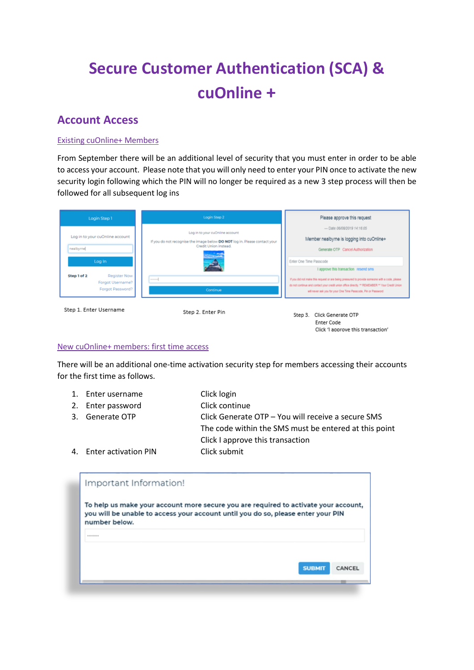# **Secure Customer Authentication (SCA) & cuOnline +**

## **Account Access**

#### Existing cuOnline+ Members

From September there will be an additional level of security that you must enter in order to be able to access your account. Please note that you will only need to enter your PIN once to activate the new security login following which the PIN will no longer be required as a new 3 step process will then be followed for all subsequent log ins

| Login Step 1                                                        | Login Step 2                                                                                                                           | Please approve this request                                                                                                                                                                                                                                                                                  |
|---------------------------------------------------------------------|----------------------------------------------------------------------------------------------------------------------------------------|--------------------------------------------------------------------------------------------------------------------------------------------------------------------------------------------------------------------------------------------------------------------------------------------------------------|
| Log in to your cuOnline account<br>nealbyrne<br>Log In              | Log in to your cuOnline account<br>If you do not recognise the image below DO NOT log in. Please contact your<br>Credit Union instead. | - Date 06/08/2019 14:16:05<br>Member nealbyrne is logging into cuOnline+<br>Generate OTP Cancel Authorization<br>Enter One Time Passcode                                                                                                                                                                     |
| Register Now<br>Step 1 of 2<br>Forgot Username?<br>Forgot Password? | --------<br>Continue                                                                                                                   | I approve this transaction resend sms<br>If you did not make this request or are being pressured to provide someone with a code, please<br>do not continue and contact your credit union office directly. ** REMEMBER ** Your Credit Union<br>will never ask you for your One Time Passcode, Pin or Password |
| Step 1. Enter Username                                              | Step 2. Enter Pin                                                                                                                      | Click Generate OTP<br>Step 3.<br><b>Enter Code</b>                                                                                                                                                                                                                                                           |

#### New cuOnline+ members: first time access

There will be an additional one-time activation security step for members accessing their accounts for the first time as follows.

Click 'I approve this transaction'

1. Enter username Click login 2. Enter password Click continue 3. Generate OTP Click Generate OTP – You will receive a secure SMS The code within the SMS must be entered at this point Click I approve this transaction 4. Enter activation PIN Click submit

| Important Information! |                                                                                                                                                                         |
|------------------------|-------------------------------------------------------------------------------------------------------------------------------------------------------------------------|
| number below.          | To help us make your account more secure you are required to activate your account,<br>you will be unable to access your account until you do so, please enter your PIN |
| ********               |                                                                                                                                                                         |
|                        | <b>SUBMIT</b><br>CANCEL                                                                                                                                                 |
|                        |                                                                                                                                                                         |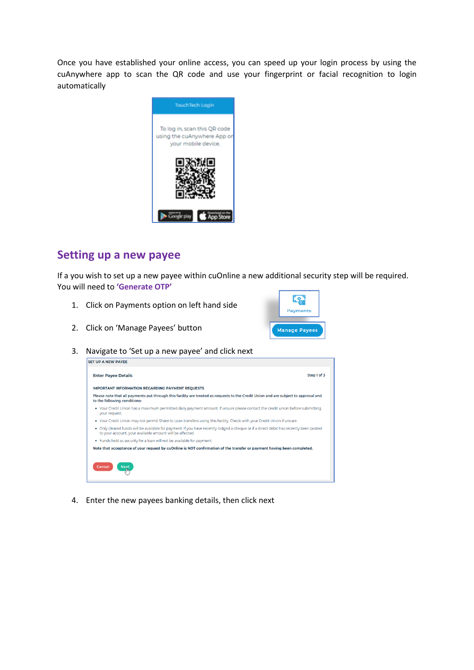Once you have established your online access, you can speed up your login process by using the cuAnywhere app to scan the QR code and use your fingerprint or facial recognition to login automatically



### **Setting up a new payee**

If a you wish to set up a new payee within cuOnline a new additional security step will be required. You will need to **'Generate OTP'**

- 1. Click on Payments option on left hand side
- 2. Click on 'Manage Payees' button

|  | <b>Payments</b>      |  |
|--|----------------------|--|
|  | <b>Manage Payees</b> |  |

3. Navigate to 'Set up a new payee' and click next



4. Enter the new payees banking details, then click next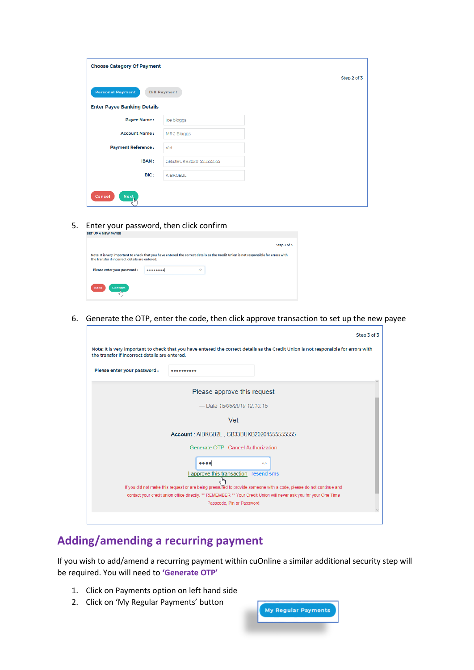| <b>Choose Category Of Payment</b>  |                        |             |
|------------------------------------|------------------------|-------------|
|                                    |                        | Step 2 of 3 |
| <b>Personal Payment</b>            | <b>Bill Payment</b>    |             |
| <b>Enter Payee Banking Details</b> |                        |             |
| <b>Payee Name:</b>                 | joe bloggs             |             |
| <b>Account Name:</b>               | MRJ Bloggs             |             |
| <b>Payment Reference:</b>          | Vet                    |             |
| <b>IBAN:</b>                       | GB33BUKB20201555555555 |             |
| BIC:                               | AIBKGB2L               |             |
|                                    |                        |             |
| Cancel<br><b>Next</b><br>Чщ        |                        |             |

5. Enter your password, then click confirm

| <b>SEI UP A NEW PAIEE</b>                      |             |                                                                                                                                      |             |
|------------------------------------------------|-------------|--------------------------------------------------------------------------------------------------------------------------------------|-------------|
|                                                |             |                                                                                                                                      | Step 3 of 3 |
| the transfer if incorrect details are entered. |             | Note: It is very important to check that you have entered the correct details as the Credit Union is not responsible for errors with |             |
| Please enter your password:                    | 00000000000 | ക                                                                                                                                    |             |
| <b>Back</b><br><b>Confirm</b>                  |             |                                                                                                                                      |             |

6. Generate the OTP, enter the code, then click approve transaction to set up the new payee

|                                                |                                                                                                                                               | Step 3 of 3                                                                                                                          |
|------------------------------------------------|-----------------------------------------------------------------------------------------------------------------------------------------------|--------------------------------------------------------------------------------------------------------------------------------------|
| the transfer if incorrect details are entered. |                                                                                                                                               | Note: It is very important to check that you have entered the correct details as the Credit Union is not responsible for errors with |
| Please enter your password :                   |                                                                                                                                               |                                                                                                                                      |
|                                                | Please approve this request                                                                                                                   |                                                                                                                                      |
|                                                | -Date 15/08/2019 12:10:15                                                                                                                     |                                                                                                                                      |
|                                                | Vet                                                                                                                                           |                                                                                                                                      |
|                                                | Account: AIBKGB2L, GB33BUKB202015555555555                                                                                                    |                                                                                                                                      |
|                                                | Generate OTP Cancel Authorization                                                                                                             |                                                                                                                                      |
|                                                | $\bullet\bullet\bullet\bullet$                                                                                                                | ര                                                                                                                                    |
|                                                | I approve this transaction resend sms<br>.իհ                                                                                                  |                                                                                                                                      |
|                                                | If you did not make this request or are being pressured to provide someone with a code, please do not continue and                            |                                                                                                                                      |
|                                                | contact your credit union office directly. ** REMEMBER ** Your Credit Union will never ask you for your One Time<br>Passcode, Pin or Password |                                                                                                                                      |
|                                                |                                                                                                                                               |                                                                                                                                      |

# **Adding/amending a recurring payment**

If you wish to add/amend a recurring payment within cuOnline a similar additional security step will be required. You will need to **'Generate OTP'**

- 1. Click on Payments option on left hand side
- 2. Click on 'My Regular Payments' button